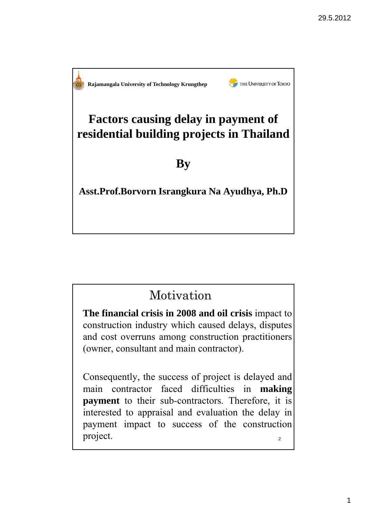THE UNIVERSITY OF TOKYO **Rajamangala University of Technology Krungthep Factors causing delay in payment of residential building projects in Thailand By Asst.Prof.Borvorn Israngkura Na Ayudhya, Ph.D**

## Motivation

**The financial crisis in 2008 and oil crisis** impact to construction industry which caused delays, disputes and cost overruns among construction practitioners (owner, consultant and main contractor).

 $\overline{2}$ Consequently, the success of project is delayed and main contractor faced difficulties in **making payment** to their sub-contractors. Therefore, it is interested to appraisal and evaluation the delay in payment impact to success of the construction project.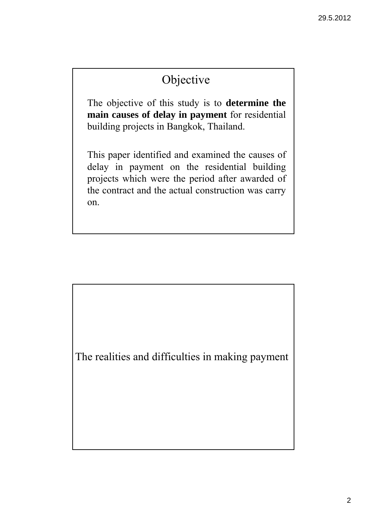# Objective

The objective of this study is to **determine the main causes of delay in payment** for residential building projects in Bangkok, Thailand.

This paper identified and examined the causes of delay in payment on the residential building projects which were the period after awarded of the contract and the actual construction was carry on.

The realities and difficulties in making payment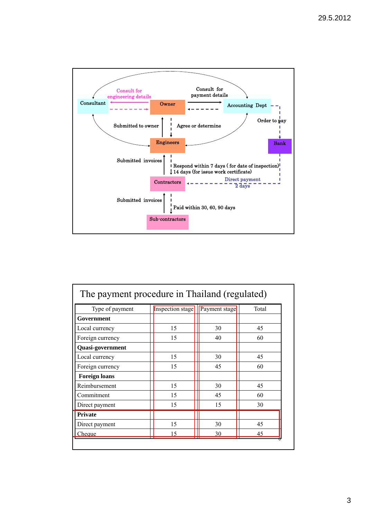

| Type of payment      | Inspection stage | Payment stage | Total |
|----------------------|------------------|---------------|-------|
| Government           |                  |               |       |
| Local currency       | 15               | 30            | 45    |
| Foreign currency     | 15               | 40            | 60    |
| Quasi-government     |                  |               |       |
| Local currency       | 15               | 30            | 45    |
| Foreign currency     | 15               | 45            | 60    |
| <b>Foreign loans</b> |                  |               |       |
| Reimbursement        | 15               | 30            | 45    |
| Commitment           | 15               | 45            | 60    |
| Direct payment       | 15               | 15            | 30    |
| <b>Private</b>       |                  |               |       |
| Direct payment       | 15               | 30            | 45    |
| Cheque               | 15               | 30            | 45    |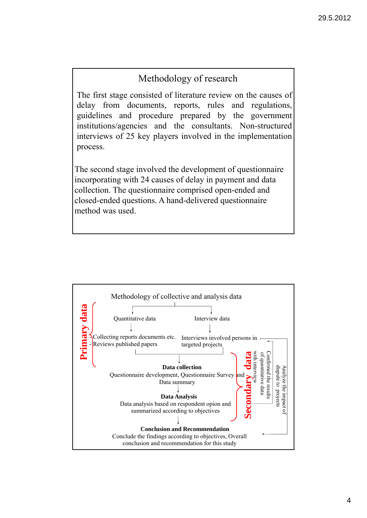#### Methodology of research

The first stage consisted of literature review on the causes of delay from documents, reports, rules and regulations, guidelines and procedure prepared by the government institutions/agencies and the consultants. Non-structured interviews of 25 key players involved in the implementation process.

The second stage involved the development of questionnaire incorporating with 24 causes of delay in payment and data collection. The questionnaire comprised open-ended and closed-ended questions. A hand-delivered questionnaire method was used.

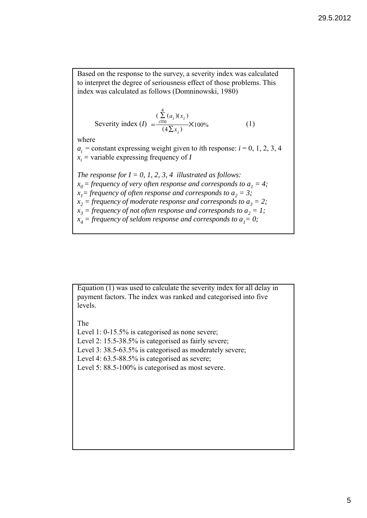Based on the response to the survey, a severity index was calculated to interpret the degree of seriousness effect of those problems. This index was calculated as follows (Domninowski, 1980)

Severity index 
$$
(I) = \frac{\sum_{i=0}^{4} (a_i)(x_i)}{(4\sum x_i)} \times 100\%
$$
 (1)

where

 $a_i$  = constant expressing weight given to *i*th response:  $i = 0, 1, 2, 3, 4$  $x_i$  = variable expressing frequency of *I* 

*The response for*  $I = 0, 1, 2, 3, 4$  *illustrated as follows:*  $x_0$  = frequency of very often response and corresponds to  $a_1 = 4$ ;  $x_1$ = frequency of often response and corresponds to  $a_2 = 3$ ;  $x_2$  = frequency of moderate response and corresponds to  $a_3 = 2$ ;  $x_3$  = frequency of not often response and corresponds to  $a_2 = 1$ ;  $x_4$  = frequency of seldom response and corresponds to  $a_1 = 0$ ;

Equation (1) was used to calculate the severity index for all delay in payment factors. The index was ranked and categorised into five levels.

#### The

Level 1: 0-15.5% is categorised as none severe; Level 2: 15.5-38.5% is categorised as fairly severe; Level 3: 38.5-63.5% is categorised as moderately severe; Level 4: 63.5-88.5% is categorised as severe; Level 5: 88.5-100% is categorised as most severe.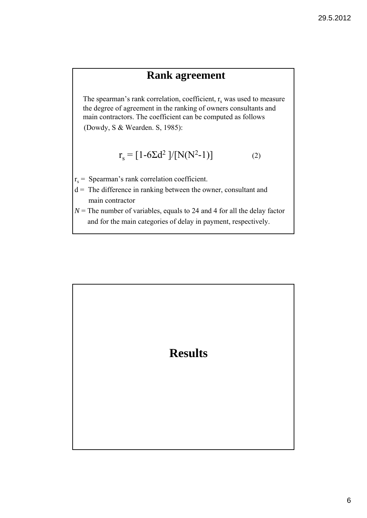#### **Rank agreement**

The spearman's rank correlation, coefficient,  $r_s$  was used to measure the degree of agreement in the ranking of owners consultants and main contractors. The coefficient can be computed as follows

(Dowdy, S & Wearden. S, 1985):

$$
r_s = [1 - 6\Sigma d^2]/[N(N^2 - 1)]
$$
 (2)

- $r_s$  = Spearman's rank correlation coefficient.
- $d =$ The difference in ranking between the owner, consultant and main contractor
- $N =$ The number of variables, equals to 24 and 4 for all the delay factor and for the main categories of delay in payment, respectively.

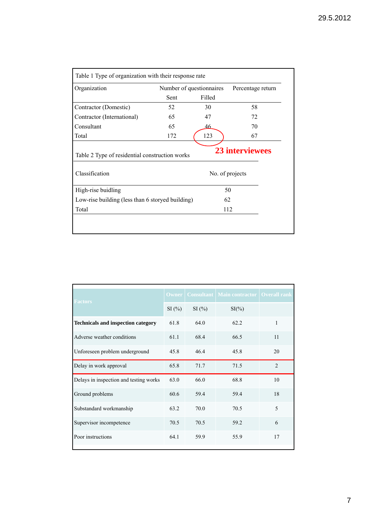| Organization                                                     | Number of questionnaires |        | Percentage return                         |  |
|------------------------------------------------------------------|--------------------------|--------|-------------------------------------------|--|
|                                                                  | Sent                     | Filled |                                           |  |
| Contractor (Domestic)                                            | 52                       | 30     | 58                                        |  |
| Contractor (International)                                       | 65                       | 47     | 72                                        |  |
| Consultant                                                       | 65                       | 46     | 70                                        |  |
| Total                                                            | 172                      | 123    | 67                                        |  |
|                                                                  |                          |        |                                           |  |
| Table 2 Type of residential construction works<br>Classification |                          |        | <b>23 interviewees</b><br>No. of projects |  |
| High-rise buidling                                               |                          |        | 50                                        |  |
| Low-rise building (less than 6 storyed building)                 |                          |        | 62                                        |  |

| <b>Factors</b>                            | <b>Owner</b> |       | <b>Consultant   Main contractor  </b> | <b>Overall rank</b> |
|-------------------------------------------|--------------|-------|---------------------------------------|---------------------|
|                                           | SI(%)        | SI(%) | $SI(\%)$                              |                     |
| <b>Technicals and inspection category</b> | 61.8         | 64.0  | 62.2                                  | 1                   |
| Adverse weather conditions                | 61.1         | 68.4  | 66.5                                  | 11                  |
| Unforeseen problem underground            | 45.8         | 46.4  | 45.8                                  | 20                  |
| Delay in work approval                    | 65.8         | 71.7  | 71.5                                  | $\mathfrak{D}$      |
| Delays in inspection and testing works    | 63.0         | 66.0  | 68.8                                  | 10                  |
| Ground problems                           | 60.6         | 59.4  | 59.4                                  | 18                  |
| Substandard workmanship                   | 63.2         | 70.0  | 70.5                                  | 5                   |
| Supervisor incompetence                   | 70.5         | 70.5  | 59.2                                  | 6                   |
| Poor instructions                         | 64 1         | 59.9  | 55.9                                  | 17                  |
|                                           |              |       |                                       |                     |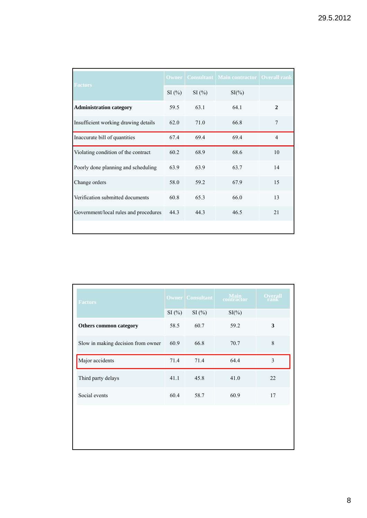| <b>Factors</b>                        | <b>Owner</b> |       | <b>Consultant   Main contractor   Overall rank</b> |                |
|---------------------------------------|--------------|-------|----------------------------------------------------|----------------|
|                                       | SI(%)        | SI(%) | $SI(\% )$                                          |                |
| <b>Administration category</b>        | 59.5         | 63.1  | 64.1                                               | $\mathbf{2}$   |
| Insufficient working drawing details  | 62.0         | 71.0  | 66.8                                               | 7              |
| Inaccurate bill of quantities         | 67.4         | 69.4  | 69.4                                               | $\overline{4}$ |
| Violating condition of the contract   | 60.2         | 68.9  | 68.6                                               | 10             |
| Poorly done planning and scheduling   | 63.9         | 63.9  | 63.7                                               | 14             |
| Change orders                         | 58.0         | 59.2  | 67.9                                               | 15             |
| Verification submitted documents      | 60.8         | 65.3  | 66.0                                               | 13             |
| Government/local rules and procedures | 44.3         | 44.3  | 46.5                                               | 21             |
|                                       |              |       |                                                    |                |

| <b>Factors</b>                     | <b>Owner</b> | <b>Consultant</b> | Main<br>contractor | <b>Overall</b><br>rank |
|------------------------------------|--------------|-------------------|--------------------|------------------------|
|                                    | SI(%)        | SI(%)             | $SI(\% )$          |                        |
| <b>Others common category</b>      | 58.5         | 60.7              | 59.2               | 3                      |
| Slow in making decision from owner | 60.9         | 66.8              | 70.7               | 8                      |
| Major accidents                    | 71.4         | 71.4              | 64.4               | 3                      |
| Third party delays                 | 41.1         | 45.8              | 41.0               | 22                     |
| Social events                      | 60.4         | 58.7              | 60.9               | 17                     |
|                                    |              |                   |                    |                        |
|                                    |              |                   |                    |                        |
|                                    |              |                   |                    |                        |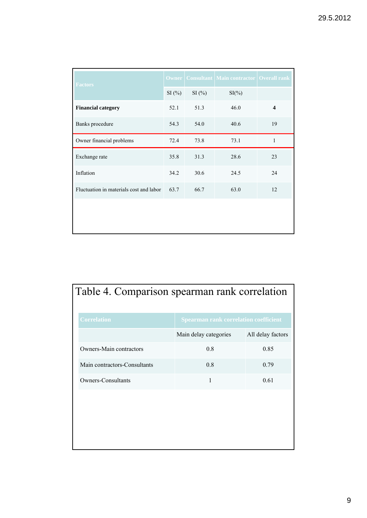| <b>Factors</b>                          | <b>Owner</b> |       | <b>Consultant   Main contractor   Overall rank</b> |                         |
|-----------------------------------------|--------------|-------|----------------------------------------------------|-------------------------|
|                                         | SI(%)        | SI(%) | $SI(\%)$                                           |                         |
| <b>Financial category</b>               | 52.1         | 51.3  | 46.0                                               | $\overline{\mathbf{4}}$ |
| Banks procedure                         | 54.3         | 54.0  | 40.6                                               | 19                      |
| Owner financial problems                | 72.4         | 73.8  | 73.1                                               | 1                       |
| Exchange rate                           | 35.8         | 31.3  | 28.6                                               | 23                      |
| Inflation                               | 34.2         | 30.6  | 24.5                                               | 24                      |
| Fluctuation in materials cost and labor | 63.7         | 66.7  | 63.0                                               | 12                      |
|                                         |              |       |                                                    |                         |
|                                         |              |       |                                                    |                         |

|                    | Table 4. Comparison spearman rank correlation |
|--------------------|-----------------------------------------------|
| <b>Correlation</b> | Spearman rank correlation coefficient         |

|                              | Main delay categories | All delay factors |
|------------------------------|-----------------------|-------------------|
| Owners-Main contractors      | 0.8                   | 0.85              |
| Main contractors-Consultants | 0.8                   | 0.79              |
| Owners-Consultants           |                       | 0.61              |
|                              |                       |                   |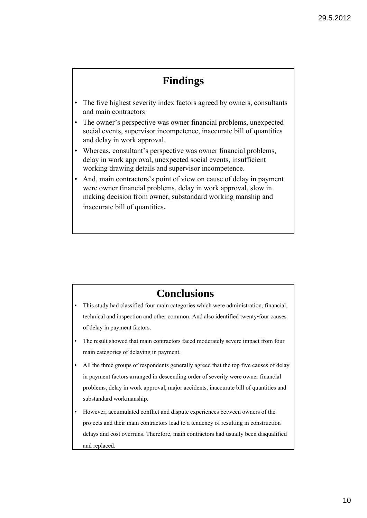### **Findings**

- The five highest severity index factors agreed by owners, consultants and main contractors
- The owner's perspective was owner financial problems, unexpected social events, supervisor incompetence, inaccurate bill of quantities and delay in work approval.
- Whereas, consultant's perspective was owner financial problems, delay in work approval, unexpected social events, insufficient working drawing details and supervisor incompetence.
- And, main contractors's point of view on cause of delay in payment were owner financial problems, delay in work approval, slow in making decision from owner, substandard working manship and inaccurate bill of quantities.

#### **Conclusions**

- This study had classified four main categories which were administration, financial, technical and inspection and other common. And also identified twenty-four causes of delay in payment factors.
- The result showed that main contractors faced moderately severe impact from four main categories of delaying in payment.
- All the three groups of respondents generally agreed that the top five causes of delay in payment factors arranged in descending order of severity were owner financial problems, delay in work approval, major accidents, inaccurate bill of quantities and substandard workmanship.
- However, accumulated conflict and dispute experiences between owners of the projects and their main contractors lead to a tendency of resulting in construction delays and cost overruns. Therefore, main contractors had usually been disqualified and replaced.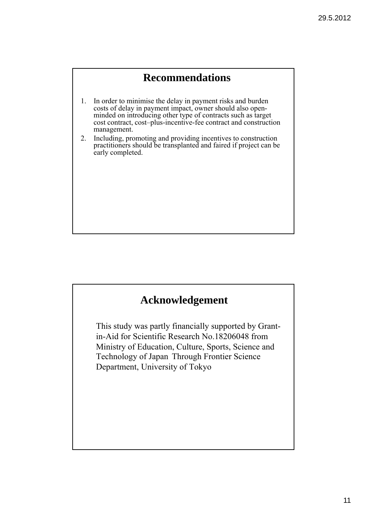#### **Recommendations**

- 1. In order to minimise the delay in payment risks and burden costs of delay in payment impact, owner should also openminded on introducing other type of contracts such as target cost contract, cost–plus-incentive-fee contract and construction management.
- 2. Including, promoting and providing incentives to construction practitioners should be transplanted and faired if project can be early completed.

#### **Acknowledgement**

This study was partly financially supported by Grantin-Aid for Scientific Research No.18206048 from Ministry of Education, Culture, Sports, Science and Technology of Japan Through Frontier Science Department, University of Tokyo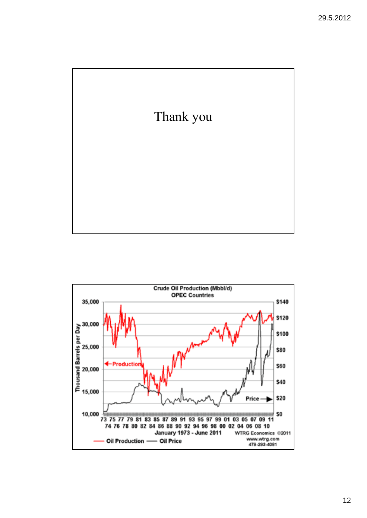